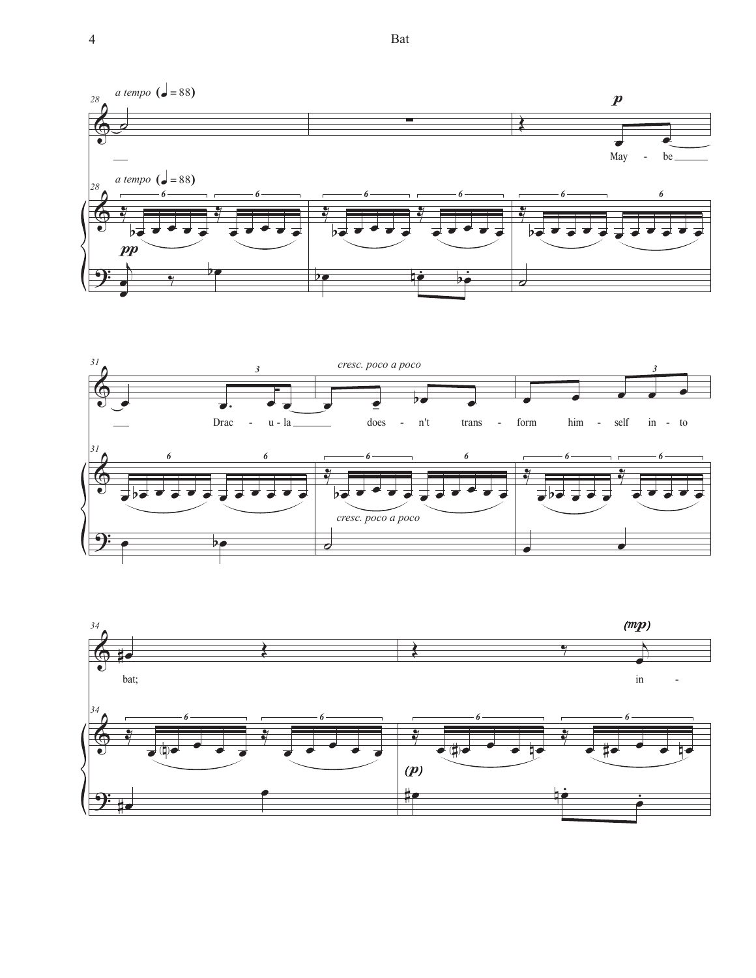





4 Bat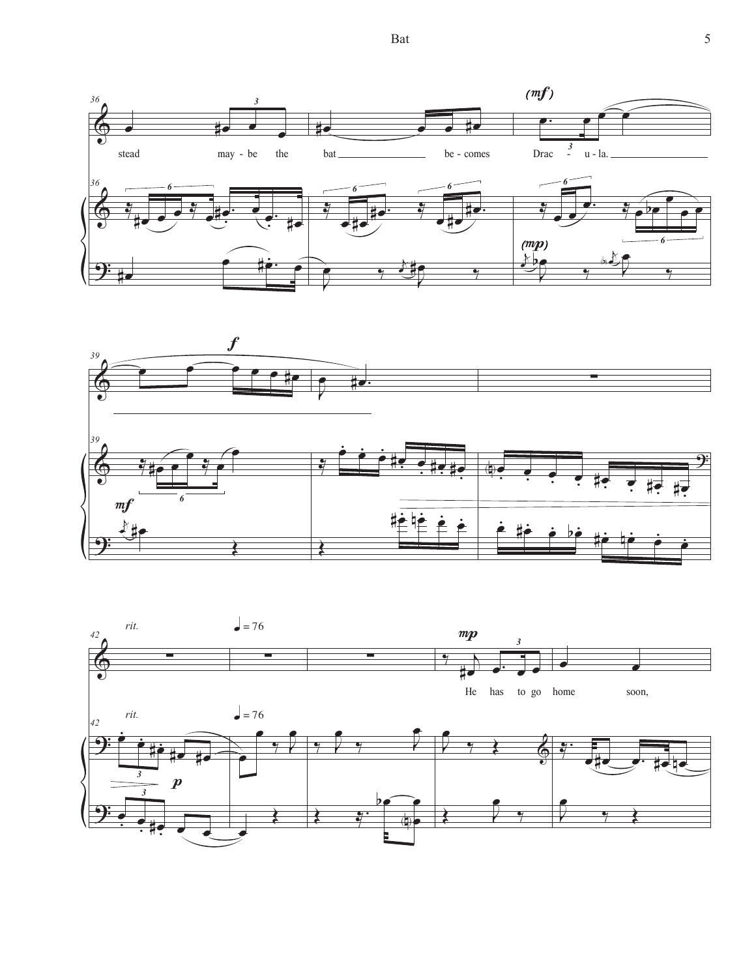

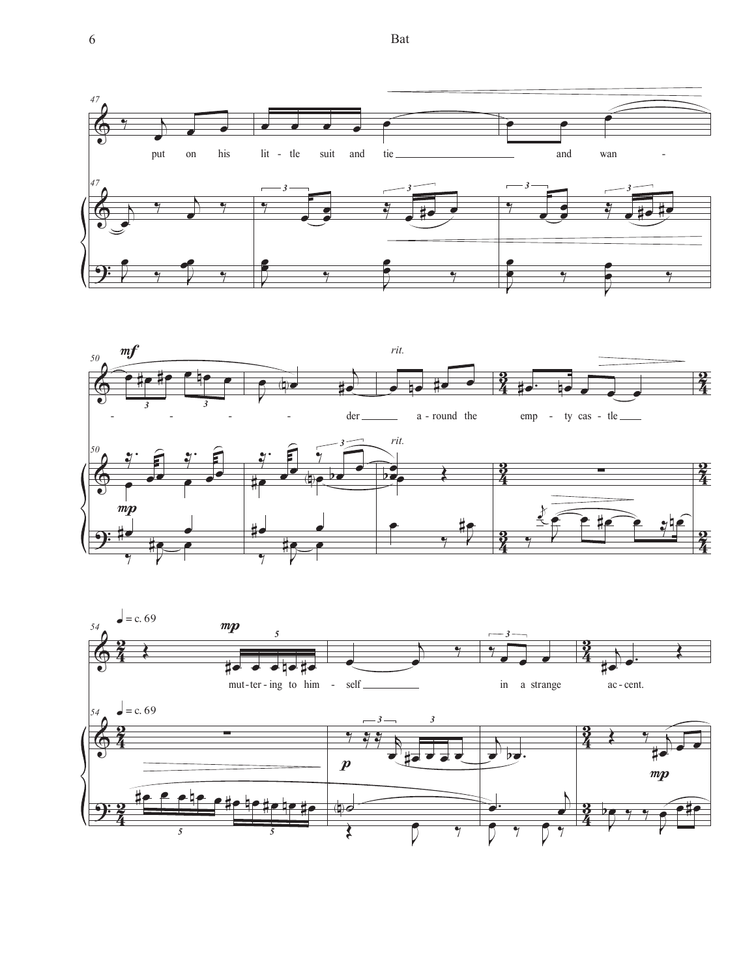